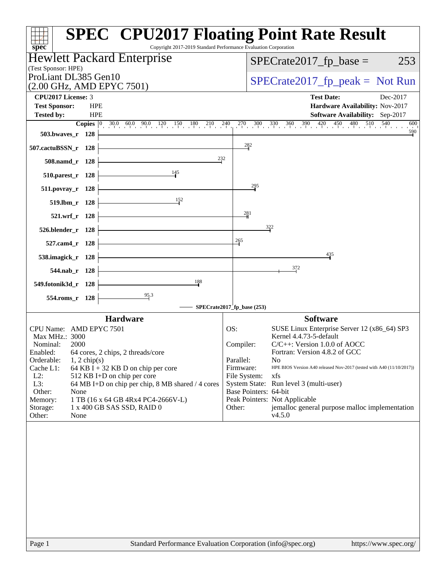| Copyright 2017-2019 Standard Performance Evaluation Corporation<br>$s\overline{p}$ ec®   | <b>SPEC<sup>®</sup> CPU2017 Floating Point Rate Result</b>                                                |
|------------------------------------------------------------------------------------------|-----------------------------------------------------------------------------------------------------------|
| Hewlett Packard Enterprise                                                               | $SPECrate2017_fp\_base =$<br>253                                                                          |
| (Test Sponsor: HPE)<br>ProLiant DL385 Gen10                                              |                                                                                                           |
| (2.00 GHz, AMD EPYC 7501)                                                                | $SPECTate2017_fp\_peak = Not Run$                                                                         |
| <b>CPU2017 License: 3</b>                                                                | <b>Test Date:</b><br>Dec-2017                                                                             |
| <b>Test Sponsor:</b><br><b>HPE</b><br><b>HPE</b><br><b>Tested by:</b>                    | Hardware Availability: Nov-2017<br>Software Availability: Sep-2017                                        |
| $30.0$ $60.0$ $90.0$ $120$ $150$ $180$ $210$ $240$<br>Copies $ 0 $                       | $270$ 300 330 360 390 420 450 480 510 540<br>600                                                          |
| 503.bwaves_r 128                                                                         | 590                                                                                                       |
| 507.cactuBSSN_r 128                                                                      | 282                                                                                                       |
| 232<br>508.namd_r 128                                                                    |                                                                                                           |
| 145<br>510.parest_r 128                                                                  |                                                                                                           |
| 511.povray_r 128                                                                         | 295                                                                                                       |
| 152<br>519.lbm_r 128                                                                     |                                                                                                           |
| 521.wrf_r 128                                                                            | 281                                                                                                       |
| 526.blender_r 128                                                                        | $32^{2}$                                                                                                  |
| 527.cam4_r 128                                                                           | 265                                                                                                       |
| 538.imagick_r 128                                                                        | 435                                                                                                       |
| 544.nab r 128                                                                            | 372                                                                                                       |
| 188<br>549.fotonik3d_r 128                                                               |                                                                                                           |
| 95.3<br>554.roms_r 128                                                                   |                                                                                                           |
|                                                                                          | $SPECrate2017$ fp_base (253)                                                                              |
| <b>Hardware</b>                                                                          | <b>Software</b>                                                                                           |
| CPU Name: AMD EPYC 7501<br>Max MHz.: 3000                                                | OS:<br>SUSE Linux Enterprise Server 12 (x86_64) SP3<br>Kernel 4.4.73-5-default                            |
| Nominal:<br>2000                                                                         | Compiler:<br>$C/C++$ : Version 1.0.0 of AOCC                                                              |
| Enabled:<br>64 cores, 2 chips, 2 threads/core<br>Orderable:<br>$1, 2$ chip(s)            | Fortran: Version 4.8.2 of GCC<br>Parallel:<br>No                                                          |
| Cache L1:<br>64 KB I + 32 KB D on chip per core<br>$L2$ :<br>512 KB I+D on chip per core | HPE BIOS Version A40 released Nov-2017 (tested with A40 (11/10/2017))<br>Firmware:<br>File System:<br>xfs |
| L3:<br>64 MB I+D on chip per chip, 8 MB shared / 4 cores                                 | System State: Run level 3 (multi-user)                                                                    |
| Other:<br>None<br>Memory:<br>1 TB (16 x 64 GB 4Rx4 PC4-2666V-L)                          | Base Pointers: 64-bit<br>Peak Pointers: Not Applicable                                                    |
| 1 x 400 GB SAS SSD, RAID 0<br>Storage:<br>Other:<br>None                                 | jemalloc general purpose malloc implementation<br>Other:<br>v4.5.0                                        |
|                                                                                          |                                                                                                           |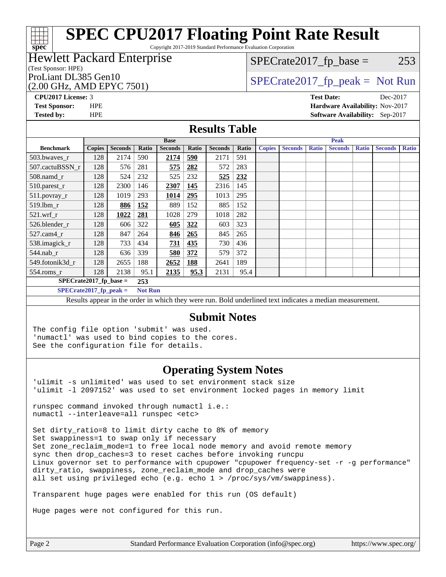Copyright 2017-2019 Standard Performance Evaluation Corporation

### Hewlett Packard Enterprise

### (Test Sponsor: HPE)

(2.00 GHz, AMD EPYC 7501)

 $SPECTate2017<sub>fp</sub> base = 253$ 

ProLiant DL385 Gen10  $SPECTA = 2017$  SPECrate 2017\_fp\_peak = Not Run

**[spec](http://www.spec.org/)**

**[CPU2017 License:](http://www.spec.org/auto/cpu2017/Docs/result-fields.html#CPU2017License)** 3 **[Test Date:](http://www.spec.org/auto/cpu2017/Docs/result-fields.html#TestDate)** Dec-2017 **[Test Sponsor:](http://www.spec.org/auto/cpu2017/Docs/result-fields.html#TestSponsor)** HPE **[Hardware Availability:](http://www.spec.org/auto/cpu2017/Docs/result-fields.html#HardwareAvailability)** Nov-2017 **[Tested by:](http://www.spec.org/auto/cpu2017/Docs/result-fields.html#Testedby)** HPE **[Software Availability:](http://www.spec.org/auto/cpu2017/Docs/result-fields.html#SoftwareAvailability)** Sep-2017

### **[Results Table](http://www.spec.org/auto/cpu2017/Docs/result-fields.html#ResultsTable)**

|                                  | <b>Base</b>   |                |                |                |            | <b>Peak</b>    |       |               |                |              |                |              |                |              |
|----------------------------------|---------------|----------------|----------------|----------------|------------|----------------|-------|---------------|----------------|--------------|----------------|--------------|----------------|--------------|
| <b>Benchmark</b>                 | <b>Copies</b> | <b>Seconds</b> | Ratio          | <b>Seconds</b> | Ratio      | <b>Seconds</b> | Ratio | <b>Copies</b> | <b>Seconds</b> | <b>Ratio</b> | <b>Seconds</b> | <b>Ratio</b> | <b>Seconds</b> | <b>Ratio</b> |
| 503.bwayes r                     | 128           | 2174           | 590            | 2174           | <u>590</u> | 2171           | 591   |               |                |              |                |              |                |              |
| 507.cactuBSSN r                  | 128           | 576            | 281            | 575            | 282        | 572            | 283   |               |                |              |                |              |                |              |
| $508$ .namd $r$                  | 128           | 524            | 232            | 525            | 232        | 525            | 232   |               |                |              |                |              |                |              |
| 510.parest_r                     | 128           | 2300           | 146            | 2307           | 145        | 2316           | 145   |               |                |              |                |              |                |              |
| 511.povray_r                     | 128           | 1019           | 293            | 1014           | 295        | 1013           | 295   |               |                |              |                |              |                |              |
| $519$ .lbm $r$                   | 128           | 886            | 152            | 889            | 152        | 885            | 152   |               |                |              |                |              |                |              |
| $521$ .wrf r                     | 128           | 1022           | 281            | 1028           | 279        | 1018           | 282   |               |                |              |                |              |                |              |
| 526.blender r                    | 128           | 606            | 322            | 605            | 322        | 603            | 323   |               |                |              |                |              |                |              |
| $527.cam4_r$                     | 128           | 847            | 264            | 846            | 265        | 845            | 265   |               |                |              |                |              |                |              |
| 538.imagick_r                    | 128           | 733            | 434            | 731            | 435        | 730            | 436   |               |                |              |                |              |                |              |
| $544$ .nab_r                     | 128           | 636            | 339            | 580            | 372        | 579            | 372   |               |                |              |                |              |                |              |
| 549.fotonik3d r                  | 128           | 2655           | 188            | 2652           | 188        | 2641           | 189   |               |                |              |                |              |                |              |
| $554$ .roms_r                    | 128           | 2138           | 95.1           | 2135           | 95.3       | 2131           | 95.4  |               |                |              |                |              |                |              |
| $SPECrate2017_fp\_base =$<br>253 |               |                |                |                |            |                |       |               |                |              |                |              |                |              |
| $SPECrate2017_fp_peak =$         |               |                | <b>Not Run</b> |                |            |                |       |               |                |              |                |              |                |              |

Results appear in the [order in which they were run.](http://www.spec.org/auto/cpu2017/Docs/result-fields.html#RunOrder) Bold underlined text [indicates a median measurement.](http://www.spec.org/auto/cpu2017/Docs/result-fields.html#Median)

### **[Submit Notes](http://www.spec.org/auto/cpu2017/Docs/result-fields.html#SubmitNotes)**

The config file option 'submit' was used. 'numactl' was used to bind copies to the cores. See the configuration file for details.

### **[Operating System Notes](http://www.spec.org/auto/cpu2017/Docs/result-fields.html#OperatingSystemNotes)**

'ulimit -s unlimited' was used to set environment stack size 'ulimit -l 2097152' was used to set environment locked pages in memory limit

runspec command invoked through numactl i.e.: numactl --interleave=all runspec <etc>

Set dirty\_ratio=8 to limit dirty cache to 8% of memory Set swappiness=1 to swap only if necessary Set zone\_reclaim\_mode=1 to free local node memory and avoid remote memory sync then drop\_caches=3 to reset caches before invoking runcpu Linux governor set to performance with cpupower "cpupower frequency-set -r -g performance" dirty\_ratio, swappiness, zone\_reclaim\_mode and drop\_caches were all set using privileged echo (e.g. echo 1 > /proc/sys/vm/swappiness).

Transparent huge pages were enabled for this run (OS default)

Huge pages were not configured for this run.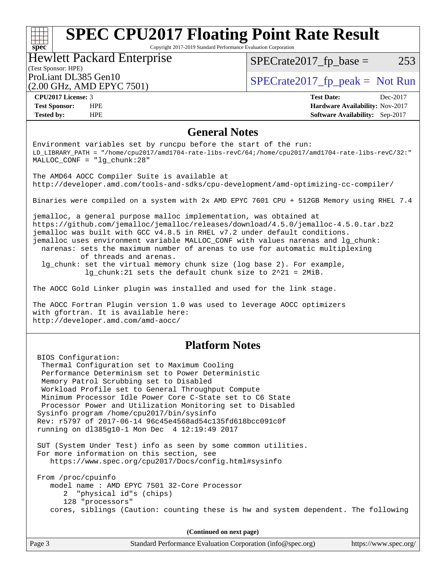Copyright 2017-2019 Standard Performance Evaluation Corporation

### (Test Sponsor: HPE) Hewlett Packard Enterprise (2.00 GHz, AMD EPYC 7501)

 $SPECTate2017<sub>fp</sub> base = 253$ 

ProLiant DL385 Gen10  $SPECTA = 2017$  SPECrate 2017\_fp\_peak = Not Run

| CPU <sub>2017</sub> License: 3 |            |
|--------------------------------|------------|
| <b>Test Sponsor:</b>           | <b>HPE</b> |

**[spec](http://www.spec.org/)**

**[CPU2017 License:](http://www.spec.org/auto/cpu2017/Docs/result-fields.html#CPU2017License)** 3 **[Test Date:](http://www.spec.org/auto/cpu2017/Docs/result-fields.html#TestDate)** Dec-2017 **[Hardware Availability:](http://www.spec.org/auto/cpu2017/Docs/result-fields.html#HardwareAvailability)** Nov-2017 **[Tested by:](http://www.spec.org/auto/cpu2017/Docs/result-fields.html#Testedby)** HPE **[Software Availability:](http://www.spec.org/auto/cpu2017/Docs/result-fields.html#SoftwareAvailability)** Sep-2017

### **[General Notes](http://www.spec.org/auto/cpu2017/Docs/result-fields.html#GeneralNotes)**

Environment variables set by runcpu before the start of the run: LD\_LIBRARY\_PATH = "/home/cpu2017/amd1704-rate-libs-revC/64;/home/cpu2017/amd1704-rate-libs-revC/32:" MALLOC\_CONF = "lg\_chunk:28" The AMD64 AOCC Compiler Suite is available at <http://developer.amd.com/tools-and-sdks/cpu-development/amd-optimizing-cc-compiler/> Binaries were compiled on a system with 2x AMD EPYC 7601 CPU + 512GB Memory using RHEL 7.4 jemalloc, a general purpose malloc implementation, was obtained at <https://github.com/jemalloc/jemalloc/releases/download/4.5.0/jemalloc-4.5.0.tar.bz2> jemalloc was built with GCC v4.8.5 in RHEL v7.2 under default conditions. jemalloc uses environment variable MALLOC\_CONF with values narenas and lg\_chunk: narenas: sets the maximum number of arenas to use for automatic multiplexing of threads and arenas. lg\_chunk: set the virtual memory chunk size (log base 2). For example, lg\_chunk:21 sets the default chunk size to 2^21 = 2MiB. The AOCC Gold Linker plugin was installed and used for the link stage. The AOCC Fortran Plugin version 1.0 was used to leverage AOCC optimizers with gfortran. It is available here: <http://developer.amd.com/amd-aocc/> **[Platform Notes](http://www.spec.org/auto/cpu2017/Docs/result-fields.html#PlatformNotes)** BIOS Configuration: Thermal Configuration set to Maximum Cooling Performance Determinism set to Power Deterministic Memory Patrol Scrubbing set to Disabled Workload Profile set to General Throughput Compute Minimum Processor Idle Power Core C-State set to C6 State Processor Power and Utilization Monitoring set to Disabled Sysinfo program /home/cpu2017/bin/sysinfo Rev: r5797 of 2017-06-14 96c45e4568ad54c135fd618bcc091c0f running on dl385g10-1 Mon Dec 4 12:19:49 2017 SUT (System Under Test) info as seen by some common utilities. For more information on this section, see <https://www.spec.org/cpu2017/Docs/config.html#sysinfo> From /proc/cpuinfo model name : AMD EPYC 7501 32-Core Processor 2 "physical id"s (chips) 128 "processors" cores, siblings (Caution: counting these is hw and system dependent. The following **(Continued on next page)**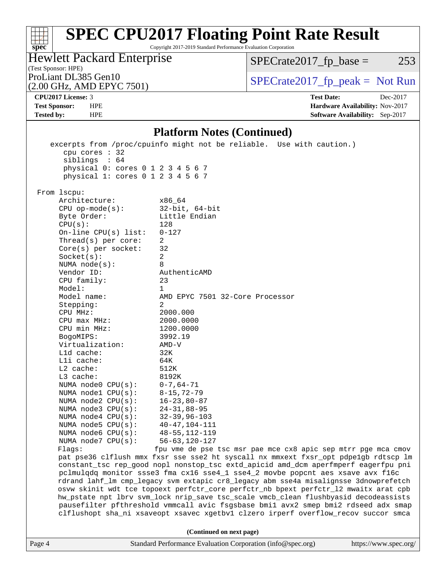Copyright 2017-2019 Standard Performance Evaluation Corporation

(Test Sponsor: HPE) Hewlett Packard Enterprise

 $SPECTate2017<sub>fp</sub> base = 253$ 

(2.00 GHz, AMD EPYC 7501)

ProLiant DL385 Gen10  $SPECTA = 2017$  SPECrate 2017\_fp\_peak = Not Run

**[CPU2017 License:](http://www.spec.org/auto/cpu2017/Docs/result-fields.html#CPU2017License)** 3 **[Test Date:](http://www.spec.org/auto/cpu2017/Docs/result-fields.html#TestDate)** Dec-2017

**[spec](http://www.spec.org/)**

 $\pm\tau$ 

**[Test Sponsor:](http://www.spec.org/auto/cpu2017/Docs/result-fields.html#TestSponsor)** HPE **[Hardware Availability:](http://www.spec.org/auto/cpu2017/Docs/result-fields.html#HardwareAvailability)** Nov-2017 **[Tested by:](http://www.spec.org/auto/cpu2017/Docs/result-fields.html#Testedby)** HPE **[Software Availability:](http://www.spec.org/auto/cpu2017/Docs/result-fields.html#SoftwareAvailability)** Sep-2017

**[Platform Notes \(Continued\)](http://www.spec.org/auto/cpu2017/Docs/result-fields.html#PlatformNotes)**

Page 4 Standard Performance Evaluation Corporation [\(info@spec.org\)](mailto:info@spec.org) <https://www.spec.org/> excerpts from /proc/cpuinfo might not be reliable. Use with caution.) cpu cores : 32 siblings : 64 physical 0: cores 0 1 2 3 4 5 6 7 physical 1: cores 0 1 2 3 4 5 6 7 From lscpu: Architecture: x86\_64 CPU op-mode(s): 32-bit, 64-bit Byte Order: Little Endian  $CPU(s):$  128 On-line CPU(s) list: 0-127 Thread(s) per core: 2 Core(s) per socket: 32 Socket(s): 2 NUMA node(s): 8 Vendor ID: AuthenticAMD CPU family: 23 Model: 1 Model name: AMD EPYC 7501 32-Core Processor Stepping: 2 CPU MHz: 2000.000 CPU max MHz: 2000.0000 CPU min MHz: 1200.0000 BogoMIPS: 3992.19 Virtualization: AMD-V L1d cache: 32K L1i cache: 64K L2 cache: 512K L3 cache: 8192K<br>NUMA node0 CPU(s): 0-7,64-71 NUMA node0 CPU(s): NUMA node1 CPU(s): 8-15,72-79 NUMA node2 CPU(s): 16-23,80-87 NUMA node3 CPU(s): 24-31,88-95 NUMA node4 CPU(s): 32-39,96-103 NUMA node5 CPU(s): 40-47,104-111 NUMA node6 CPU(s): 48-55,112-119<br>NUMA node7 CPU(s): 56-63,120-127 NUMA node7  $CPU(s):$ Flags: fpu vme de pse tsc msr pae mce cx8 apic sep mtrr pge mca cmov pat pse36 clflush mmx fxsr sse sse2 ht syscall nx mmxext fxsr\_opt pdpe1gb rdtscp lm constant\_tsc rep\_good nopl nonstop\_tsc extd\_apicid amd\_dcm aperfmperf eagerfpu pni pclmulqdq monitor ssse3 fma cx16 sse4\_1 sse4\_2 movbe popcnt aes xsave avx f16c rdrand lahf\_lm cmp\_legacy svm extapic cr8\_legacy abm sse4a misalignsse 3dnowprefetch osvw skinit wdt tce topoext perfctr\_core perfctr\_nb bpext perfctr\_l2 mwaitx arat cpb hw\_pstate npt lbrv svm\_lock nrip\_save tsc\_scale vmcb\_clean flushbyasid decodeassists pausefilter pfthreshold vmmcall avic fsgsbase bmi1 avx2 smep bmi2 rdseed adx smap clflushopt sha\_ni xsaveopt xsavec xgetbv1 clzero irperf overflow\_recov succor smca **(Continued on next page)**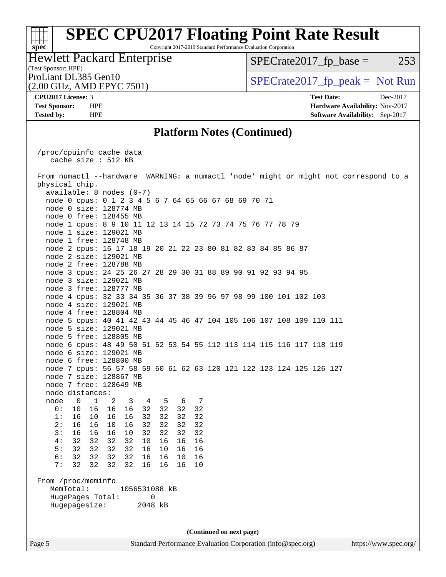Copyright 2017-2019 Standard Performance Evaluation Corporation

### (Test Sponsor: HPE) Hewlett Packard Enterprise (2.00 GHz, AMD EPYC 7501)

 $SPECTate2017<sub>fp</sub> base = 253$ 

ProLiant DL385 Gen10  $SPECTA = 2017$  SPECrate 2017\_fp\_peak = Not Run

**[spec](http://www.spec.org/)**<sup>®</sup>

**[CPU2017 License:](http://www.spec.org/auto/cpu2017/Docs/result-fields.html#CPU2017License)** 3 **[Test Date:](http://www.spec.org/auto/cpu2017/Docs/result-fields.html#TestDate)** Dec-2017 **[Test Sponsor:](http://www.spec.org/auto/cpu2017/Docs/result-fields.html#TestSponsor)** HPE **[Hardware Availability:](http://www.spec.org/auto/cpu2017/Docs/result-fields.html#HardwareAvailability)** Nov-2017 **[Tested by:](http://www.spec.org/auto/cpu2017/Docs/result-fields.html#Testedby)** HPE **[Software Availability:](http://www.spec.org/auto/cpu2017/Docs/result-fields.html#SoftwareAvailability)** Sep-2017

### **[Platform Notes \(Continued\)](http://www.spec.org/auto/cpu2017/Docs/result-fields.html#PlatformNotes)**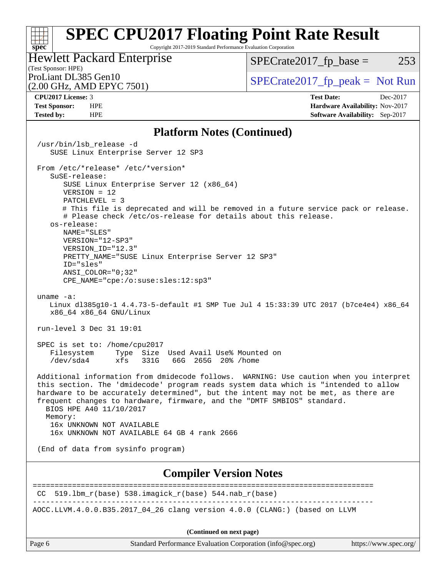Copyright 2017-2019 Standard Performance Evaluation Corporation

### (Test Sponsor: HPE) Hewlett Packard Enterprise

 $SPECTate2017<sub>fp</sub> base = 253$ 

## (2.00 GHz, AMD EPYC 7501)

ProLiant DL385 Gen10  $SPECTA = 2017$  SPECrate 2017\_fp\_peak = Not Run

**[spec](http://www.spec.org/)**

 $\pm r$ 

**[CPU2017 License:](http://www.spec.org/auto/cpu2017/Docs/result-fields.html#CPU2017License)** 3 **[Test Date:](http://www.spec.org/auto/cpu2017/Docs/result-fields.html#TestDate)** Dec-2017 **[Test Sponsor:](http://www.spec.org/auto/cpu2017/Docs/result-fields.html#TestSponsor)** HPE **[Hardware Availability:](http://www.spec.org/auto/cpu2017/Docs/result-fields.html#HardwareAvailability)** Nov-2017 **[Tested by:](http://www.spec.org/auto/cpu2017/Docs/result-fields.html#Testedby)** HPE **[Software Availability:](http://www.spec.org/auto/cpu2017/Docs/result-fields.html#SoftwareAvailability)** Sep-2017

### **[Platform Notes \(Continued\)](http://www.spec.org/auto/cpu2017/Docs/result-fields.html#PlatformNotes)**

Page 6 Standard Performance Evaluation Corporation [\(info@spec.org\)](mailto:info@spec.org) <https://www.spec.org/> /usr/bin/lsb\_release -d SUSE Linux Enterprise Server 12 SP3 From /etc/\*release\* /etc/\*version\* SuSE-release: SUSE Linux Enterprise Server 12 (x86\_64) VERSION = 12 PATCHLEVEL = 3 # This file is deprecated and will be removed in a future service pack or release. # Please check /etc/os-release for details about this release. os-release: NAME="SLES" VERSION="12-SP3" VERSION\_ID="12.3" PRETTY\_NAME="SUSE Linux Enterprise Server 12 SP3" ID="sles" ANSI\_COLOR="0;32" CPE\_NAME="cpe:/o:suse:sles:12:sp3" uname -a: Linux dl385g10-1 4.4.73-5-default #1 SMP Tue Jul 4 15:33:39 UTC 2017 (b7ce4e4) x86\_64 x86\_64 x86\_64 GNU/Linux run-level 3 Dec 31 19:01 SPEC is set to: /home/cpu2017 Filesystem Type Size Used Avail Use% Mounted on /dev/sda4 xfs 331G 66G 265G 20% /home Additional information from dmidecode follows. WARNING: Use caution when you interpret this section. The 'dmidecode' program reads system data which is "intended to allow hardware to be accurately determined", but the intent may not be met, as there are frequent changes to hardware, firmware, and the "DMTF SMBIOS" standard. BIOS HPE A40 11/10/2017 Memory: 16x UNKNOWN NOT AVAILABLE 16x UNKNOWN NOT AVAILABLE 64 GB 4 rank 2666 (End of data from sysinfo program) **[Compiler Version Notes](http://www.spec.org/auto/cpu2017/Docs/result-fields.html#CompilerVersionNotes)** ==============================================================================  $CC$  519.1bm\_ $r(base)$  538.imagick\_ $r(base)$  544.nab\_ $r(base)$ ------------------------------------------------------------------------------ AOCC.LLVM.4.0.0.B35.2017\_04\_26 clang version 4.0.0 (CLANG:) (based on LLVM **(Continued on next page)**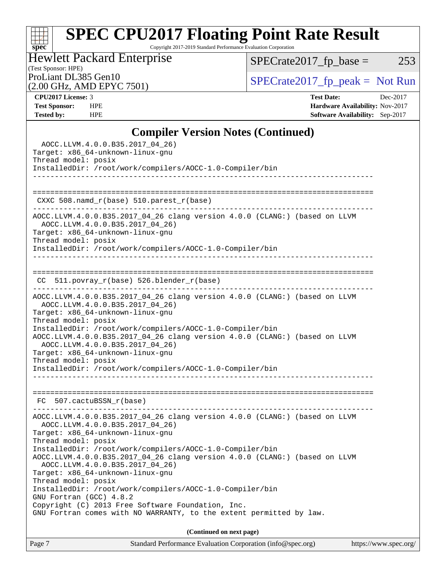Copyright 2017-2019 Standard Performance Evaluation Corporation

# Hewlett Packard Enterprise

 $SPECrate2017_fp\_base = 253$ 

### (Test Sponsor: HPE)<br>ProLiant DL385 Gen10 (2.00 GHz, AMD EPYC 7501)

 $SPECTate 2017_fp\_peak = Not Run$ 

| <b>CPU2017 License: 3</b> |
|---------------------------|
|---------------------------|

**[spec](http://www.spec.org/)**

**[CPU2017 License:](http://www.spec.org/auto/cpu2017/Docs/result-fields.html#CPU2017License)** 3 **[Test Date:](http://www.spec.org/auto/cpu2017/Docs/result-fields.html#TestDate)** Dec-2017 **[Test Sponsor:](http://www.spec.org/auto/cpu2017/Docs/result-fields.html#TestSponsor)** HPE **[Hardware Availability:](http://www.spec.org/auto/cpu2017/Docs/result-fields.html#HardwareAvailability)** Nov-2017 **[Tested by:](http://www.spec.org/auto/cpu2017/Docs/result-fields.html#Testedby)** HPE **[Software Availability:](http://www.spec.org/auto/cpu2017/Docs/result-fields.html#SoftwareAvailability)** Sep-2017

### **[Compiler Version Notes \(Continued\)](http://www.spec.org/auto/cpu2017/Docs/result-fields.html#CompilerVersionNotes)**

| Standard Performance Evaluation Corporation (info@spec.org)<br>https://www.spec.org/<br>Page 7 |  |
|------------------------------------------------------------------------------------------------|--|
| (Continued on next page)                                                                       |  |
| GNU Fortran comes with NO WARRANTY, to the extent permitted by law.                            |  |
| Copyright (C) 2013 Free Software Foundation, Inc.                                              |  |
| GNU Fortran (GCC) 4.8.2                                                                        |  |
| InstalledDir: /root/work/compilers/AOCC-1.0-Compiler/bin                                       |  |
| Thread model: posix                                                                            |  |
| AOCC.LLVM.4.0.0.B35.2017_04_26)<br>Target: x86_64-unknown-linux-gnu                            |  |
| AOCC.LLVM.4.0.0.B35.2017_04_26 clang version 4.0.0 (CLANG:) (based on LLVM                     |  |
| InstalledDir: /root/work/compilers/AOCC-1.0-Compiler/bin                                       |  |
| Thread model: posix                                                                            |  |
| AOCC.LLVM.4.0.0.B35.2017_04_26)<br>Target: x86_64-unknown-linux-gnu                            |  |
| AOCC.LLVM.4.0.0.B35.2017_04_26 clang version 4.0.0 (CLANG:) (based on LLVM                     |  |
|                                                                                                |  |
| FC 507.cactuBSSN_r(base)                                                                       |  |
|                                                                                                |  |
|                                                                                                |  |
| InstalledDir: /root/work/compilers/AOCC-1.0-Compiler/bin                                       |  |
| Thread model: posix                                                                            |  |
| AOCC.LLVM.4.0.0.B35.2017_04_26)<br>Target: x86_64-unknown-linux-gnu                            |  |
| AOCC.LLVM.4.0.0.B35.2017_04_26 clang version 4.0.0 (CLANG:) (based on LLVM                     |  |
| InstalledDir: /root/work/compilers/AOCC-1.0-Compiler/bin                                       |  |
| Thread model: posix                                                                            |  |
| AOCC.LLVM.4.0.0.B35.2017_04_26)<br>Target: x86_64-unknown-linux-gnu                            |  |
| AOCC.LLVM.4.0.0.B35.2017_04_26 clang version 4.0.0 (CLANG:) (based on LLVM                     |  |
|                                                                                                |  |
| CC 511.povray_r(base) 526.blender_r(base)                                                      |  |
|                                                                                                |  |
|                                                                                                |  |
| InstalledDir: /root/work/compilers/AOCC-1.0-Compiler/bin                                       |  |
| Thread model: posix                                                                            |  |
| AOCC.LLVM.4.0.0.B35.2017_04_26)<br>Target: x86_64-unknown-linux-gnu                            |  |
| AOCC.LLVM.4.0.0.B35.2017_04_26 clang version 4.0.0 (CLANG:) (based on LLVM                     |  |
|                                                                                                |  |
| $CXXC 508.namd_r(base) 510.parest_r(base)$                                                     |  |
|                                                                                                |  |
|                                                                                                |  |
| InstalledDir: /root/work/compilers/AOCC-1.0-Compiler/bin                                       |  |
| Target: x86_64-unknown-linux-gnu<br>Thread model: posix                                        |  |
|                                                                                                |  |
| AOCC.LLVM.4.0.0.B35.2017_04_26)                                                                |  |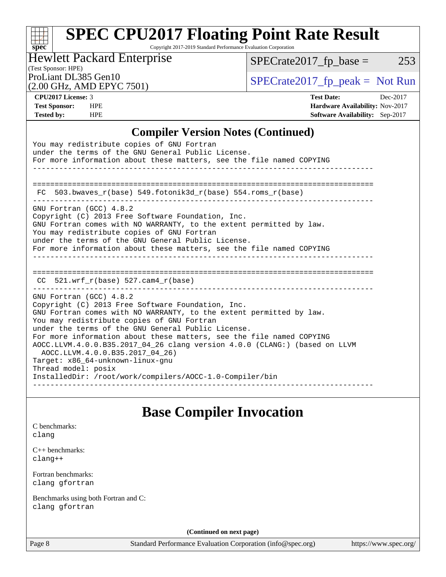Copyright 2017-2019 Standard Performance Evaluation Corporation

### (Test Sponsor: HPE) Hewlett Packard Enterprise

 $SPECTate2017_fp\_base = 253$ 

(2.00 GHz, AMD EPYC 7501)

ProLiant DL385 Gen10  $SPECTR 2017$  Spectrate 2017\_fp\_peak = Not Run

**[spec](http://www.spec.org/)**

 $\pm$ 

**[CPU2017 License:](http://www.spec.org/auto/cpu2017/Docs/result-fields.html#CPU2017License)** 3 **[Test Date:](http://www.spec.org/auto/cpu2017/Docs/result-fields.html#TestDate)** Dec-2017 **[Test Sponsor:](http://www.spec.org/auto/cpu2017/Docs/result-fields.html#TestSponsor)** HPE **[Hardware Availability:](http://www.spec.org/auto/cpu2017/Docs/result-fields.html#HardwareAvailability)** Nov-2017 **[Tested by:](http://www.spec.org/auto/cpu2017/Docs/result-fields.html#Testedby)** HPE **[Software Availability:](http://www.spec.org/auto/cpu2017/Docs/result-fields.html#SoftwareAvailability)** Sep-2017

### **[Compiler Version Notes \(Continued\)](http://www.spec.org/auto/cpu2017/Docs/result-fields.html#CompilerVersionNotes)**

| You may redistribute copies of GNU Fortran<br>under the terms of the GNU General Public License.<br>For more information about these matters, see the file named COPYING                                                                                                                                                                                                                                                                                                                                                                                                |
|-------------------------------------------------------------------------------------------------------------------------------------------------------------------------------------------------------------------------------------------------------------------------------------------------------------------------------------------------------------------------------------------------------------------------------------------------------------------------------------------------------------------------------------------------------------------------|
| FC 503.bwaves $r(base)$ 549.fotonik3d $r(base)$ 554.roms $r(base)$                                                                                                                                                                                                                                                                                                                                                                                                                                                                                                      |
| GNU Fortran (GCC) 4.8.2<br>Copyright (C) 2013 Free Software Foundation, Inc.<br>GNU Fortran comes with NO WARRANTY, to the extent permitted by law.<br>You may redistribute copies of GNU Fortran<br>under the terms of the GNU General Public License.<br>For more information about these matters, see the file named COPYING                                                                                                                                                                                                                                         |
| $CC$ 521.wrf $r(base)$ 527.cam4 $r(base)$                                                                                                                                                                                                                                                                                                                                                                                                                                                                                                                               |
| GNU Fortran (GCC) 4.8.2<br>Copyright (C) 2013 Free Software Foundation, Inc.<br>GNU Fortran comes with NO WARRANTY, to the extent permitted by law.<br>You may redistribute copies of GNU Fortran<br>under the terms of the GNU General Public License.<br>For more information about these matters, see the file named COPYING<br>AOCC.LLVM.4.0.0.B35.2017_04_26 clang version 4.0.0 (CLANG:) (based on LLVM<br>AOCC.LLVM.4.0.0.B35.2017_04_26)<br>Target: x86 64-unknown-linux-gnu<br>Thread model: posix<br>InstalledDir: /root/work/compilers/AOCC-1.0-Compiler/bin |

## **[Base Compiler Invocation](http://www.spec.org/auto/cpu2017/Docs/result-fields.html#BaseCompilerInvocation)**

| C benchmarks: |  |
|---------------|--|
| clanq         |  |
| $\sim$ $\sim$ |  |

[C++ benchmarks:](http://www.spec.org/auto/cpu2017/Docs/result-fields.html#CXXbenchmarks) [clang++](http://www.spec.org/cpu2017/results/res2018q1/cpu2017-20171212-01655.flags.html#user_CXXbase_Fclang3_57a48582e5be507d19b2527b3e7d4f85d9b8669ffc9a8a0dbb9bcf949a918a58bbab411e0c4d14a3922022a3e425a90db94042683824c1806feff4324ca1000d)

[Fortran benchmarks](http://www.spec.org/auto/cpu2017/Docs/result-fields.html#Fortranbenchmarks): [clang](http://www.spec.org/cpu2017/results/res2018q1/cpu2017-20171212-01655.flags.html#user_FCbase_Fclang3) [gfortran](http://www.spec.org/cpu2017/results/res2018q1/cpu2017-20171212-01655.flags.html#user_FCbase_gfortran)

[Benchmarks using both Fortran and C](http://www.spec.org/auto/cpu2017/Docs/result-fields.html#BenchmarksusingbothFortranandC): [clang](http://www.spec.org/cpu2017/results/res2018q1/cpu2017-20171212-01655.flags.html#user_CC_FCbase_Fclang3) [gfortran](http://www.spec.org/cpu2017/results/res2018q1/cpu2017-20171212-01655.flags.html#user_CC_FCbase_gfortran)

**(Continued on next page)**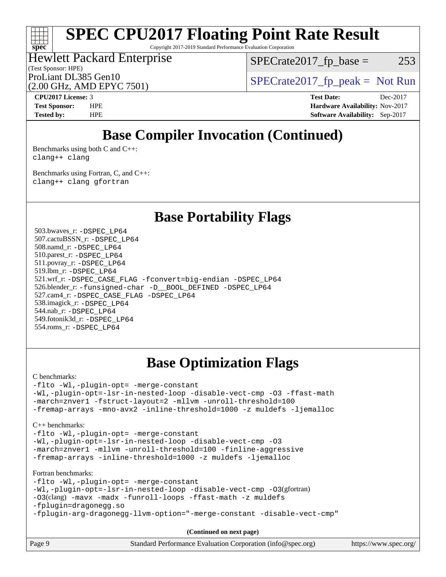Copyright 2017-2019 Standard Performance Evaluation Corporation

### (Test Sponsor: HPE) Hewlett Packard Enterprise ProLiant DL385 Gen10  $SPECTR = 2017$  SPECrate 2017\_fp\_peak = Not Run

 $SPECTate2017<sub>fp</sub> base = 253$ 

(2.00 GHz, AMD EPYC 7501) **[CPU2017 License:](http://www.spec.org/auto/cpu2017/Docs/result-fields.html#CPU2017License)** 3 **[Test Date:](http://www.spec.org/auto/cpu2017/Docs/result-fields.html#TestDate)** Dec-2017

**[spec](http://www.spec.org/)**

**[Test Sponsor:](http://www.spec.org/auto/cpu2017/Docs/result-fields.html#TestSponsor)** HPE **[Hardware Availability:](http://www.spec.org/auto/cpu2017/Docs/result-fields.html#HardwareAvailability)** Nov-2017 **[Tested by:](http://www.spec.org/auto/cpu2017/Docs/result-fields.html#Testedby)** HPE **[Software Availability:](http://www.spec.org/auto/cpu2017/Docs/result-fields.html#SoftwareAvailability)** Sep-2017

## **[Base Compiler Invocation \(Continued\)](http://www.spec.org/auto/cpu2017/Docs/result-fields.html#BaseCompilerInvocation)**

[Benchmarks using both C and C++](http://www.spec.org/auto/cpu2017/Docs/result-fields.html#BenchmarksusingbothCandCXX): [clang++](http://www.spec.org/cpu2017/results/res2018q1/cpu2017-20171212-01655.flags.html#user_CC_CXXbase_Fclang3_57a48582e5be507d19b2527b3e7d4f85d9b8669ffc9a8a0dbb9bcf949a918a58bbab411e0c4d14a3922022a3e425a90db94042683824c1806feff4324ca1000d) [clang](http://www.spec.org/cpu2017/results/res2018q1/cpu2017-20171212-01655.flags.html#user_CC_CXXbase_Fclang3)

[Benchmarks using Fortran, C, and C++:](http://www.spec.org/auto/cpu2017/Docs/result-fields.html#BenchmarksusingFortranCandCXX) [clang++](http://www.spec.org/cpu2017/results/res2018q1/cpu2017-20171212-01655.flags.html#user_CC_CXX_FCbase_Fclang3_57a48582e5be507d19b2527b3e7d4f85d9b8669ffc9a8a0dbb9bcf949a918a58bbab411e0c4d14a3922022a3e425a90db94042683824c1806feff4324ca1000d) [clang](http://www.spec.org/cpu2017/results/res2018q1/cpu2017-20171212-01655.flags.html#user_CC_CXX_FCbase_Fclang3) [gfortran](http://www.spec.org/cpu2017/results/res2018q1/cpu2017-20171212-01655.flags.html#user_CC_CXX_FCbase_gfortran)

**[Base Portability Flags](http://www.spec.org/auto/cpu2017/Docs/result-fields.html#BasePortabilityFlags)**

 503.bwaves\_r: [-DSPEC\\_LP64](http://www.spec.org/cpu2017/results/res2018q1/cpu2017-20171212-01655.flags.html#suite_baseEXTRA_PORTABILITY503_bwaves_r_DSPEC_LP64) 507.cactuBSSN\_r: [-DSPEC\\_LP64](http://www.spec.org/cpu2017/results/res2018q1/cpu2017-20171212-01655.flags.html#suite_baseEXTRA_PORTABILITY507_cactuBSSN_r_DSPEC_LP64) 508.namd\_r: [-DSPEC\\_LP64](http://www.spec.org/cpu2017/results/res2018q1/cpu2017-20171212-01655.flags.html#suite_baseEXTRA_PORTABILITY508_namd_r_DSPEC_LP64) 510.parest\_r: [-DSPEC\\_LP64](http://www.spec.org/cpu2017/results/res2018q1/cpu2017-20171212-01655.flags.html#suite_baseEXTRA_PORTABILITY510_parest_r_DSPEC_LP64) 511.povray\_r: [-DSPEC\\_LP64](http://www.spec.org/cpu2017/results/res2018q1/cpu2017-20171212-01655.flags.html#suite_baseEXTRA_PORTABILITY511_povray_r_DSPEC_LP64) 519.lbm\_r: [-DSPEC\\_LP64](http://www.spec.org/cpu2017/results/res2018q1/cpu2017-20171212-01655.flags.html#suite_baseEXTRA_PORTABILITY519_lbm_r_DSPEC_LP64) 521.wrf\_r: [-DSPEC\\_CASE\\_FLAG](http://www.spec.org/cpu2017/results/res2018q1/cpu2017-20171212-01655.flags.html#b521.wrf_r_baseCPORTABILITY_DSPEC_CASE_FLAG) [-fconvert=big-endian](http://www.spec.org/cpu2017/results/res2018q1/cpu2017-20171212-01655.flags.html#user_baseFPORTABILITY521_wrf_r_F-fconvert:big-endian) [-DSPEC\\_LP64](http://www.spec.org/cpu2017/results/res2018q1/cpu2017-20171212-01655.flags.html#suite_baseEXTRA_PORTABILITY521_wrf_r_DSPEC_LP64) 526.blender\_r: [-funsigned-char](http://www.spec.org/cpu2017/results/res2018q1/cpu2017-20171212-01655.flags.html#user_baseCPORTABILITY526_blender_r_F-funsigned-char) [-D\\_\\_BOOL\\_DEFINED](http://www.spec.org/cpu2017/results/res2018q1/cpu2017-20171212-01655.flags.html#b526.blender_r_baseCXXPORTABILITY_D__BOOL_DEFINED) [-DSPEC\\_LP64](http://www.spec.org/cpu2017/results/res2018q1/cpu2017-20171212-01655.flags.html#suite_baseEXTRA_PORTABILITY526_blender_r_DSPEC_LP64) 527.cam4\_r: [-DSPEC\\_CASE\\_FLAG](http://www.spec.org/cpu2017/results/res2018q1/cpu2017-20171212-01655.flags.html#b527.cam4_r_basePORTABILITY_DSPEC_CASE_FLAG) [-DSPEC\\_LP64](http://www.spec.org/cpu2017/results/res2018q1/cpu2017-20171212-01655.flags.html#suite_baseEXTRA_PORTABILITY527_cam4_r_DSPEC_LP64) 538.imagick\_r: [-DSPEC\\_LP64](http://www.spec.org/cpu2017/results/res2018q1/cpu2017-20171212-01655.flags.html#suite_baseEXTRA_PORTABILITY538_imagick_r_DSPEC_LP64) 544.nab\_r: [-DSPEC\\_LP64](http://www.spec.org/cpu2017/results/res2018q1/cpu2017-20171212-01655.flags.html#suite_baseEXTRA_PORTABILITY544_nab_r_DSPEC_LP64) 549.fotonik3d\_r: [-DSPEC\\_LP64](http://www.spec.org/cpu2017/results/res2018q1/cpu2017-20171212-01655.flags.html#suite_baseEXTRA_PORTABILITY549_fotonik3d_r_DSPEC_LP64) 554.roms\_r: [-DSPEC\\_LP64](http://www.spec.org/cpu2017/results/res2018q1/cpu2017-20171212-01655.flags.html#suite_baseEXTRA_PORTABILITY554_roms_r_DSPEC_LP64)

## **[Base Optimization Flags](http://www.spec.org/auto/cpu2017/Docs/result-fields.html#BaseOptimizationFlags)**

[C benchmarks](http://www.spec.org/auto/cpu2017/Docs/result-fields.html#Cbenchmarks):

[-flto](http://www.spec.org/cpu2017/results/res2018q1/cpu2017-20171212-01655.flags.html#user_CCbase_F-flto) [-Wl,-plugin-opt=](http://www.spec.org/cpu2017/results/res2018q1/cpu2017-20171212-01655.flags.html#user_CCbase_F-Wl_e2cfa9303fa7177fc979b6ea3ac112b25cc1d9a704f985e64d2c1147a9a124d595124def755438d557d7af0b063540ac9f0d182cc4ce48e282e58f3688f96e17) [-merge-constant](http://www.spec.org/cpu2017/results/res2018q1/cpu2017-20171212-01655.flags.html#user_CCbase_F-merge-constant_bdb3ec75d21d5cf0ab1961ebe7105d0ea3b0c6d89a312cf7efc1d107e6c56c92c36b5d564d0702d1e2526f6b92f188b4413eb5a54b1f9e4a41f5a9bfc0233b92) [-Wl,-plugin-opt=-lsr-in-nested-loop](http://www.spec.org/cpu2017/results/res2018q1/cpu2017-20171212-01655.flags.html#user_CCbase_F-Wl_1cff93fd95162f5e77640b5271e8bed680fb62b4a8d96fb8ab217ff3244646f1fbb342e31af83c263403bbf5249c7dc7732d5c86c3eab4cc8d32dcb7a6f33ca0) [-disable-vect-cmp](http://www.spec.org/cpu2017/results/res2018q1/cpu2017-20171212-01655.flags.html#user_CCbase_F-disable-vect-cmp) [-O3](http://www.spec.org/cpu2017/results/res2018q1/cpu2017-20171212-01655.flags.html#user_CCbase_F-O3) [-ffast-math](http://www.spec.org/cpu2017/results/res2018q1/cpu2017-20171212-01655.flags.html#user_CCbase_F-ffast-math) [-march=znver1](http://www.spec.org/cpu2017/results/res2018q1/cpu2017-20171212-01655.flags.html#user_CCbase_march_082ab2c5e8f99f69c47c63adfdc26f9617958cc68d0b5dbfb7aa6935cde4c91d5d9c2fdc24e6781fa8a0299196f2f4ca8e995f825d797de797910507b4251bb3) [-fstruct-layout=2](http://www.spec.org/cpu2017/results/res2018q1/cpu2017-20171212-01655.flags.html#user_CCbase_F-fstruct-layout_a05ec02e17cdf7fe0c3950a6b005251b2b1e5e67af2b5298cf72714730c3d59ba290e75546b10aa22dac074c15ceaca36ae22c62cb51bcb2fbdc9dc4e7e222c4) [-mllvm](http://www.spec.org/cpu2017/results/res2018q1/cpu2017-20171212-01655.flags.html#user_CCbase_F-mllvm_76e3f86ef8d8cc4dfa84cec42d531db351fee284f72cd5d644b5bdbef9c2604296512be6a431d9e19d0523544399ea9dd745afc2fff755a0705d428460dc659e) [-unroll-threshold=100](http://www.spec.org/cpu2017/results/res2018q1/cpu2017-20171212-01655.flags.html#user_CCbase_F-unroll-threshold) [-fremap-arrays](http://www.spec.org/cpu2017/results/res2018q1/cpu2017-20171212-01655.flags.html#user_CCbase_F-fremap-arrays) [-mno-avx2](http://www.spec.org/cpu2017/results/res2018q1/cpu2017-20171212-01655.flags.html#user_CCbase_F-mno-avx2) [-inline-threshold=1000](http://www.spec.org/cpu2017/results/res2018q1/cpu2017-20171212-01655.flags.html#user_CCbase_F-inline-threshold_1daf3e0321a7a0c1ea19068c818f3f119b1e5dfc986cc791557791f4b93536c1546ba0c8585f62303269f504aa232e0ca278e8489928152e32e0752215741730) [-z muldefs](http://www.spec.org/cpu2017/results/res2018q1/cpu2017-20171212-01655.flags.html#user_CCbase_zmuldefs) [-ljemalloc](http://www.spec.org/cpu2017/results/res2018q1/cpu2017-20171212-01655.flags.html#user_CCbase_F-ljemalloc)

[C++ benchmarks:](http://www.spec.org/auto/cpu2017/Docs/result-fields.html#CXXbenchmarks)

[-flto](http://www.spec.org/cpu2017/results/res2018q1/cpu2017-20171212-01655.flags.html#user_CXXbase_F-flto) [-Wl,-plugin-opt=](http://www.spec.org/cpu2017/results/res2018q1/cpu2017-20171212-01655.flags.html#user_CXXbase_F-Wl_e2cfa9303fa7177fc979b6ea3ac112b25cc1d9a704f985e64d2c1147a9a124d595124def755438d557d7af0b063540ac9f0d182cc4ce48e282e58f3688f96e17) [-merge-constant](http://www.spec.org/cpu2017/results/res2018q1/cpu2017-20171212-01655.flags.html#user_CXXbase_F-merge-constant_bdb3ec75d21d5cf0ab1961ebe7105d0ea3b0c6d89a312cf7efc1d107e6c56c92c36b5d564d0702d1e2526f6b92f188b4413eb5a54b1f9e4a41f5a9bfc0233b92) [-Wl,-plugin-opt=-lsr-in-nested-loop](http://www.spec.org/cpu2017/results/res2018q1/cpu2017-20171212-01655.flags.html#user_CXXbase_F-Wl_1cff93fd95162f5e77640b5271e8bed680fb62b4a8d96fb8ab217ff3244646f1fbb342e31af83c263403bbf5249c7dc7732d5c86c3eab4cc8d32dcb7a6f33ca0) [-disable-vect-cmp](http://www.spec.org/cpu2017/results/res2018q1/cpu2017-20171212-01655.flags.html#user_CXXbase_F-disable-vect-cmp) [-O3](http://www.spec.org/cpu2017/results/res2018q1/cpu2017-20171212-01655.flags.html#user_CXXbase_F-O3) [-march=znver1](http://www.spec.org/cpu2017/results/res2018q1/cpu2017-20171212-01655.flags.html#user_CXXbase_march_082ab2c5e8f99f69c47c63adfdc26f9617958cc68d0b5dbfb7aa6935cde4c91d5d9c2fdc24e6781fa8a0299196f2f4ca8e995f825d797de797910507b4251bb3) [-mllvm](http://www.spec.org/cpu2017/results/res2018q1/cpu2017-20171212-01655.flags.html#user_CXXbase_F-mllvm_76e3f86ef8d8cc4dfa84cec42d531db351fee284f72cd5d644b5bdbef9c2604296512be6a431d9e19d0523544399ea9dd745afc2fff755a0705d428460dc659e) [-unroll-threshold=100](http://www.spec.org/cpu2017/results/res2018q1/cpu2017-20171212-01655.flags.html#user_CXXbase_F-unroll-threshold) [-finline-aggressive](http://www.spec.org/cpu2017/results/res2018q1/cpu2017-20171212-01655.flags.html#user_CXXbase_F-finline-aggressive) [-fremap-arrays](http://www.spec.org/cpu2017/results/res2018q1/cpu2017-20171212-01655.flags.html#user_CXXbase_F-fremap-arrays) [-inline-threshold=1000](http://www.spec.org/cpu2017/results/res2018q1/cpu2017-20171212-01655.flags.html#user_CXXbase_F-inline-threshold_1daf3e0321a7a0c1ea19068c818f3f119b1e5dfc986cc791557791f4b93536c1546ba0c8585f62303269f504aa232e0ca278e8489928152e32e0752215741730) [-z muldefs](http://www.spec.org/cpu2017/results/res2018q1/cpu2017-20171212-01655.flags.html#user_CXXbase_zmuldefs) [-ljemalloc](http://www.spec.org/cpu2017/results/res2018q1/cpu2017-20171212-01655.flags.html#user_CXXbase_F-ljemalloc)

[Fortran benchmarks](http://www.spec.org/auto/cpu2017/Docs/result-fields.html#Fortranbenchmarks):

[-flto](http://www.spec.org/cpu2017/results/res2018q1/cpu2017-20171212-01655.flags.html#user_FCbase_F-flto) [-Wl,-plugin-opt=](http://www.spec.org/cpu2017/results/res2018q1/cpu2017-20171212-01655.flags.html#user_FCbase_F-Wl_e2cfa9303fa7177fc979b6ea3ac112b25cc1d9a704f985e64d2c1147a9a124d595124def755438d557d7af0b063540ac9f0d182cc4ce48e282e58f3688f96e17) [-merge-constant](http://www.spec.org/cpu2017/results/res2018q1/cpu2017-20171212-01655.flags.html#user_FCbase_F-merge-constant_bdb3ec75d21d5cf0ab1961ebe7105d0ea3b0c6d89a312cf7efc1d107e6c56c92c36b5d564d0702d1e2526f6b92f188b4413eb5a54b1f9e4a41f5a9bfc0233b92) [-Wl,-plugin-opt=-lsr-in-nested-loop](http://www.spec.org/cpu2017/results/res2018q1/cpu2017-20171212-01655.flags.html#user_FCbase_F-Wl_1cff93fd95162f5e77640b5271e8bed680fb62b4a8d96fb8ab217ff3244646f1fbb342e31af83c263403bbf5249c7dc7732d5c86c3eab4cc8d32dcb7a6f33ca0) [-disable-vect-cmp](http://www.spec.org/cpu2017/results/res2018q1/cpu2017-20171212-01655.flags.html#user_FCbase_F-disable-vect-cmp) [-O3](http://www.spec.org/cpu2017/results/res2018q1/cpu2017-20171212-01655.flags.html#user_FCbase_Olevel-gcc_2a8c613e11e2962ae78d693398304d6f1c12fa10320380cff05dd109643c60bb04214353a55f02d8022371d19f6dd940085da69c3a4516b2b7029e64f867e782)(gfortran) [-O3](http://www.spec.org/cpu2017/results/res2018q1/cpu2017-20171212-01655.flags.html#user_FCbase_F-O3)(clang) [-mavx](http://www.spec.org/cpu2017/results/res2018q1/cpu2017-20171212-01655.flags.html#user_FCbase_F-mavx) [-madx](http://www.spec.org/cpu2017/results/res2018q1/cpu2017-20171212-01655.flags.html#user_FCbase_F-madx) [-funroll-loops](http://www.spec.org/cpu2017/results/res2018q1/cpu2017-20171212-01655.flags.html#user_FCbase_F-funroll-loops) [-ffast-math](http://www.spec.org/cpu2017/results/res2018q1/cpu2017-20171212-01655.flags.html#user_FCbase_F-ffast-math) [-z muldefs](http://www.spec.org/cpu2017/results/res2018q1/cpu2017-20171212-01655.flags.html#user_FCbase_zmuldefs) [-fplugin=dragonegg.so](http://www.spec.org/cpu2017/results/res2018q1/cpu2017-20171212-01655.flags.html#user_FCbase_fplugin_58c2a63f89003737c9fd803d0c3796dc72d5241339c21541e40b94820d6cd0cfe16967716335872d62513842fcd74342ff6b09f66685f00172b97f92c3a7df41) [-fplugin-arg-dragonegg-llvm-option="-merge-constant](http://www.spec.org/cpu2017/results/res2018q1/cpu2017-20171212-01655.flags.html#user_FCbase_F-fplugin-arg-dragonegg-llvm-option_2c2b42da402f5ce12c9400df40907135700f5e616ca8020360a050fb3470fbc722460411e768b26aabceda8cc86abb5adeb37be6db72f976961b6ba501bc7ca5) [-disable-vect-cmp"](http://www.spec.org/cpu2017/results/res2018q1/cpu2017-20171212-01655.flags.html#user_FCbase_F-dragonegg-llvm-disable-vect-cmp_6cf351a29613b68bfdbd040d3e22ab0ce250093fe1c4f1b0b3e19cc513bf9fe59893782c14402abfbebd018ed2d47d139a1a3c59a802b3eac454540228820b23)

**(Continued on next page)**

|  | Page | Standard Performance Evaluation Corporation (info@spec.org) | https://www.spec.org/ |
|--|------|-------------------------------------------------------------|-----------------------|
|--|------|-------------------------------------------------------------|-----------------------|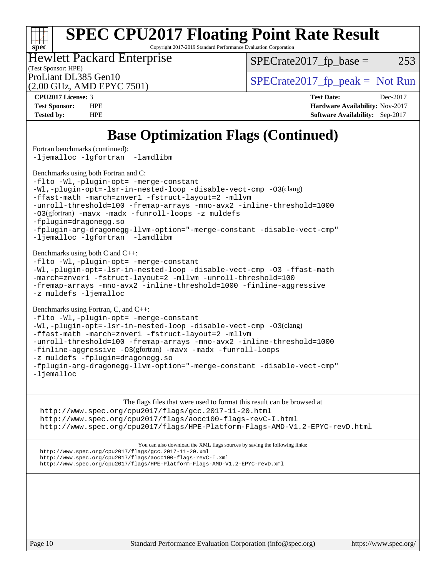Copyright 2017-2019 Standard Performance Evaluation Corporation

(Test Sponsor: HPE) Hewlett Packard Enterprise

 $SPECTate2017<sub>fp</sub> base = 253$ 

(2.00 GHz, AMD EPYC 7501)

ProLiant DL385 Gen10  $SPECTA = 2017$  SPECrate 2017\_fp\_peak = Not Run

**[spec](http://www.spec.org/)**

 $\pm r$ 

**[CPU2017 License:](http://www.spec.org/auto/cpu2017/Docs/result-fields.html#CPU2017License)** 3 **[Test Date:](http://www.spec.org/auto/cpu2017/Docs/result-fields.html#TestDate)** Dec-2017 **[Test Sponsor:](http://www.spec.org/auto/cpu2017/Docs/result-fields.html#TestSponsor)** HPE **[Hardware Availability:](http://www.spec.org/auto/cpu2017/Docs/result-fields.html#HardwareAvailability)** Nov-2017 **[Tested by:](http://www.spec.org/auto/cpu2017/Docs/result-fields.html#Testedby)** HPE **[Software Availability:](http://www.spec.org/auto/cpu2017/Docs/result-fields.html#SoftwareAvailability)** Sep-2017

## **[Base Optimization Flags \(Continued\)](http://www.spec.org/auto/cpu2017/Docs/result-fields.html#BaseOptimizationFlags)**

[Fortran benchmarks](http://www.spec.org/auto/cpu2017/Docs/result-fields.html#Fortranbenchmarks) (continued): [-ljemalloc](http://www.spec.org/cpu2017/results/res2018q1/cpu2017-20171212-01655.flags.html#user_FCbase_F-ljemalloc) [-lgfortran](http://www.spec.org/cpu2017/results/res2018q1/cpu2017-20171212-01655.flags.html#user_FCbase_F-lgfortran_aee53aa7918ae35ea4e5035d616421204ae8a638c05873868b1aa8743e73ef3f738c1d9cddaea8bce7f96e18015ec2f72d6588008f90a113075c46bd34a5e3c3) [-lamdlibm](http://www.spec.org/cpu2017/results/res2018q1/cpu2017-20171212-01655.flags.html#user_FCbase_F-lamdlibm_1db3d84841b8a1b4efe9441895380ccb52ec69ae4c885fce609f880d1f58d8b3c2693ad984247faf1d5c0b0abc492f2987ed2911d4dbfc830003ff87fe5a2273)  [Benchmarks using both Fortran and C](http://www.spec.org/auto/cpu2017/Docs/result-fields.html#BenchmarksusingbothFortranandC): [-flto](http://www.spec.org/cpu2017/results/res2018q1/cpu2017-20171212-01655.flags.html#user_CC_FCbase_F-flto) [-Wl,-plugin-opt=](http://www.spec.org/cpu2017/results/res2018q1/cpu2017-20171212-01655.flags.html#user_CC_FCbase_F-Wl_e2cfa9303fa7177fc979b6ea3ac112b25cc1d9a704f985e64d2c1147a9a124d595124def755438d557d7af0b063540ac9f0d182cc4ce48e282e58f3688f96e17) [-merge-constant](http://www.spec.org/cpu2017/results/res2018q1/cpu2017-20171212-01655.flags.html#user_CC_FCbase_F-merge-constant_bdb3ec75d21d5cf0ab1961ebe7105d0ea3b0c6d89a312cf7efc1d107e6c56c92c36b5d564d0702d1e2526f6b92f188b4413eb5a54b1f9e4a41f5a9bfc0233b92) [-Wl,-plugin-opt=-lsr-in-nested-loop](http://www.spec.org/cpu2017/results/res2018q1/cpu2017-20171212-01655.flags.html#user_CC_FCbase_F-Wl_1cff93fd95162f5e77640b5271e8bed680fb62b4a8d96fb8ab217ff3244646f1fbb342e31af83c263403bbf5249c7dc7732d5c86c3eab4cc8d32dcb7a6f33ca0) [-disable-vect-cmp](http://www.spec.org/cpu2017/results/res2018q1/cpu2017-20171212-01655.flags.html#user_CC_FCbase_F-disable-vect-cmp) [-O3](http://www.spec.org/cpu2017/results/res2018q1/cpu2017-20171212-01655.flags.html#user_CC_FCbase_F-O3)(clang) [-ffast-math](http://www.spec.org/cpu2017/results/res2018q1/cpu2017-20171212-01655.flags.html#user_CC_FCbase_F-ffast-math) [-march=znver1](http://www.spec.org/cpu2017/results/res2018q1/cpu2017-20171212-01655.flags.html#user_CC_FCbase_march_082ab2c5e8f99f69c47c63adfdc26f9617958cc68d0b5dbfb7aa6935cde4c91d5d9c2fdc24e6781fa8a0299196f2f4ca8e995f825d797de797910507b4251bb3) [-fstruct-layout=2](http://www.spec.org/cpu2017/results/res2018q1/cpu2017-20171212-01655.flags.html#user_CC_FCbase_F-fstruct-layout_a05ec02e17cdf7fe0c3950a6b005251b2b1e5e67af2b5298cf72714730c3d59ba290e75546b10aa22dac074c15ceaca36ae22c62cb51bcb2fbdc9dc4e7e222c4) [-mllvm](http://www.spec.org/cpu2017/results/res2018q1/cpu2017-20171212-01655.flags.html#user_CC_FCbase_F-mllvm_76e3f86ef8d8cc4dfa84cec42d531db351fee284f72cd5d644b5bdbef9c2604296512be6a431d9e19d0523544399ea9dd745afc2fff755a0705d428460dc659e) [-unroll-threshold=100](http://www.spec.org/cpu2017/results/res2018q1/cpu2017-20171212-01655.flags.html#user_CC_FCbase_F-unroll-threshold) [-fremap-arrays](http://www.spec.org/cpu2017/results/res2018q1/cpu2017-20171212-01655.flags.html#user_CC_FCbase_F-fremap-arrays) [-mno-avx2](http://www.spec.org/cpu2017/results/res2018q1/cpu2017-20171212-01655.flags.html#user_CC_FCbase_F-mno-avx2) [-inline-threshold=1000](http://www.spec.org/cpu2017/results/res2018q1/cpu2017-20171212-01655.flags.html#user_CC_FCbase_F-inline-threshold_1daf3e0321a7a0c1ea19068c818f3f119b1e5dfc986cc791557791f4b93536c1546ba0c8585f62303269f504aa232e0ca278e8489928152e32e0752215741730) [-O3](http://www.spec.org/cpu2017/results/res2018q1/cpu2017-20171212-01655.flags.html#user_CC_FCbase_Olevel-gcc_2a8c613e11e2962ae78d693398304d6f1c12fa10320380cff05dd109643c60bb04214353a55f02d8022371d19f6dd940085da69c3a4516b2b7029e64f867e782)(gfortran) [-mavx](http://www.spec.org/cpu2017/results/res2018q1/cpu2017-20171212-01655.flags.html#user_CC_FCbase_F-mavx) [-madx](http://www.spec.org/cpu2017/results/res2018q1/cpu2017-20171212-01655.flags.html#user_CC_FCbase_F-madx) [-funroll-loops](http://www.spec.org/cpu2017/results/res2018q1/cpu2017-20171212-01655.flags.html#user_CC_FCbase_F-funroll-loops) [-z muldefs](http://www.spec.org/cpu2017/results/res2018q1/cpu2017-20171212-01655.flags.html#user_CC_FCbase_zmuldefs) [-fplugin=dragonegg.so](http://www.spec.org/cpu2017/results/res2018q1/cpu2017-20171212-01655.flags.html#user_CC_FCbase_fplugin_58c2a63f89003737c9fd803d0c3796dc72d5241339c21541e40b94820d6cd0cfe16967716335872d62513842fcd74342ff6b09f66685f00172b97f92c3a7df41) [-fplugin-arg-dragonegg-llvm-option="-merge-constant](http://www.spec.org/cpu2017/results/res2018q1/cpu2017-20171212-01655.flags.html#user_CC_FCbase_F-fplugin-arg-dragonegg-llvm-option_2c2b42da402f5ce12c9400df40907135700f5e616ca8020360a050fb3470fbc722460411e768b26aabceda8cc86abb5adeb37be6db72f976961b6ba501bc7ca5) [-disable-vect-cmp"](http://www.spec.org/cpu2017/results/res2018q1/cpu2017-20171212-01655.flags.html#user_CC_FCbase_F-dragonegg-llvm-disable-vect-cmp_6cf351a29613b68bfdbd040d3e22ab0ce250093fe1c4f1b0b3e19cc513bf9fe59893782c14402abfbebd018ed2d47d139a1a3c59a802b3eac454540228820b23) [-ljemalloc](http://www.spec.org/cpu2017/results/res2018q1/cpu2017-20171212-01655.flags.html#user_CC_FCbase_F-ljemalloc) [-lgfortran](http://www.spec.org/cpu2017/results/res2018q1/cpu2017-20171212-01655.flags.html#user_CC_FCbase_F-lgfortran_aee53aa7918ae35ea4e5035d616421204ae8a638c05873868b1aa8743e73ef3f738c1d9cddaea8bce7f96e18015ec2f72d6588008f90a113075c46bd34a5e3c3) [-lamdlibm](http://www.spec.org/cpu2017/results/res2018q1/cpu2017-20171212-01655.flags.html#user_CC_FCbase_F-lamdlibm_1db3d84841b8a1b4efe9441895380ccb52ec69ae4c885fce609f880d1f58d8b3c2693ad984247faf1d5c0b0abc492f2987ed2911d4dbfc830003ff87fe5a2273)  [Benchmarks using both C and C++](http://www.spec.org/auto/cpu2017/Docs/result-fields.html#BenchmarksusingbothCandCXX): [-flto](http://www.spec.org/cpu2017/results/res2018q1/cpu2017-20171212-01655.flags.html#user_CC_CXXbase_F-flto) [-Wl,-plugin-opt=](http://www.spec.org/cpu2017/results/res2018q1/cpu2017-20171212-01655.flags.html#user_CC_CXXbase_F-Wl_e2cfa9303fa7177fc979b6ea3ac112b25cc1d9a704f985e64d2c1147a9a124d595124def755438d557d7af0b063540ac9f0d182cc4ce48e282e58f3688f96e17) [-merge-constant](http://www.spec.org/cpu2017/results/res2018q1/cpu2017-20171212-01655.flags.html#user_CC_CXXbase_F-merge-constant_bdb3ec75d21d5cf0ab1961ebe7105d0ea3b0c6d89a312cf7efc1d107e6c56c92c36b5d564d0702d1e2526f6b92f188b4413eb5a54b1f9e4a41f5a9bfc0233b92) [-Wl,-plugin-opt=-lsr-in-nested-loop](http://www.spec.org/cpu2017/results/res2018q1/cpu2017-20171212-01655.flags.html#user_CC_CXXbase_F-Wl_1cff93fd95162f5e77640b5271e8bed680fb62b4a8d96fb8ab217ff3244646f1fbb342e31af83c263403bbf5249c7dc7732d5c86c3eab4cc8d32dcb7a6f33ca0) [-disable-vect-cmp](http://www.spec.org/cpu2017/results/res2018q1/cpu2017-20171212-01655.flags.html#user_CC_CXXbase_F-disable-vect-cmp) [-O3](http://www.spec.org/cpu2017/results/res2018q1/cpu2017-20171212-01655.flags.html#user_CC_CXXbase_F-O3) [-ffast-math](http://www.spec.org/cpu2017/results/res2018q1/cpu2017-20171212-01655.flags.html#user_CC_CXXbase_F-ffast-math) [-march=znver1](http://www.spec.org/cpu2017/results/res2018q1/cpu2017-20171212-01655.flags.html#user_CC_CXXbase_march_082ab2c5e8f99f69c47c63adfdc26f9617958cc68d0b5dbfb7aa6935cde4c91d5d9c2fdc24e6781fa8a0299196f2f4ca8e995f825d797de797910507b4251bb3) [-fstruct-layout=2](http://www.spec.org/cpu2017/results/res2018q1/cpu2017-20171212-01655.flags.html#user_CC_CXXbase_F-fstruct-layout_a05ec02e17cdf7fe0c3950a6b005251b2b1e5e67af2b5298cf72714730c3d59ba290e75546b10aa22dac074c15ceaca36ae22c62cb51bcb2fbdc9dc4e7e222c4) [-mllvm](http://www.spec.org/cpu2017/results/res2018q1/cpu2017-20171212-01655.flags.html#user_CC_CXXbase_F-mllvm_76e3f86ef8d8cc4dfa84cec42d531db351fee284f72cd5d644b5bdbef9c2604296512be6a431d9e19d0523544399ea9dd745afc2fff755a0705d428460dc659e) [-unroll-threshold=100](http://www.spec.org/cpu2017/results/res2018q1/cpu2017-20171212-01655.flags.html#user_CC_CXXbase_F-unroll-threshold) [-fremap-arrays](http://www.spec.org/cpu2017/results/res2018q1/cpu2017-20171212-01655.flags.html#user_CC_CXXbase_F-fremap-arrays) [-mno-avx2](http://www.spec.org/cpu2017/results/res2018q1/cpu2017-20171212-01655.flags.html#user_CC_CXXbase_F-mno-avx2) [-inline-threshold=1000](http://www.spec.org/cpu2017/results/res2018q1/cpu2017-20171212-01655.flags.html#user_CC_CXXbase_F-inline-threshold_1daf3e0321a7a0c1ea19068c818f3f119b1e5dfc986cc791557791f4b93536c1546ba0c8585f62303269f504aa232e0ca278e8489928152e32e0752215741730) [-finline-aggressive](http://www.spec.org/cpu2017/results/res2018q1/cpu2017-20171212-01655.flags.html#user_CC_CXXbase_F-finline-aggressive) [-z muldefs](http://www.spec.org/cpu2017/results/res2018q1/cpu2017-20171212-01655.flags.html#user_CC_CXXbase_zmuldefs) [-ljemalloc](http://www.spec.org/cpu2017/results/res2018q1/cpu2017-20171212-01655.flags.html#user_CC_CXXbase_F-ljemalloc) [Benchmarks using Fortran, C, and C++:](http://www.spec.org/auto/cpu2017/Docs/result-fields.html#BenchmarksusingFortranCandCXX) [-flto](http://www.spec.org/cpu2017/results/res2018q1/cpu2017-20171212-01655.flags.html#user_CC_CXX_FCbase_F-flto) [-Wl,-plugin-opt=](http://www.spec.org/cpu2017/results/res2018q1/cpu2017-20171212-01655.flags.html#user_CC_CXX_FCbase_F-Wl_e2cfa9303fa7177fc979b6ea3ac112b25cc1d9a704f985e64d2c1147a9a124d595124def755438d557d7af0b063540ac9f0d182cc4ce48e282e58f3688f96e17) [-merge-constant](http://www.spec.org/cpu2017/results/res2018q1/cpu2017-20171212-01655.flags.html#user_CC_CXX_FCbase_F-merge-constant_bdb3ec75d21d5cf0ab1961ebe7105d0ea3b0c6d89a312cf7efc1d107e6c56c92c36b5d564d0702d1e2526f6b92f188b4413eb5a54b1f9e4a41f5a9bfc0233b92) [-Wl,-plugin-opt=-lsr-in-nested-loop](http://www.spec.org/cpu2017/results/res2018q1/cpu2017-20171212-01655.flags.html#user_CC_CXX_FCbase_F-Wl_1cff93fd95162f5e77640b5271e8bed680fb62b4a8d96fb8ab217ff3244646f1fbb342e31af83c263403bbf5249c7dc7732d5c86c3eab4cc8d32dcb7a6f33ca0) [-disable-vect-cmp](http://www.spec.org/cpu2017/results/res2018q1/cpu2017-20171212-01655.flags.html#user_CC_CXX_FCbase_F-disable-vect-cmp) [-O3](http://www.spec.org/cpu2017/results/res2018q1/cpu2017-20171212-01655.flags.html#user_CC_CXX_FCbase_F-O3)(clang) [-ffast-math](http://www.spec.org/cpu2017/results/res2018q1/cpu2017-20171212-01655.flags.html#user_CC_CXX_FCbase_F-ffast-math) [-march=znver1](http://www.spec.org/cpu2017/results/res2018q1/cpu2017-20171212-01655.flags.html#user_CC_CXX_FCbase_march_082ab2c5e8f99f69c47c63adfdc26f9617958cc68d0b5dbfb7aa6935cde4c91d5d9c2fdc24e6781fa8a0299196f2f4ca8e995f825d797de797910507b4251bb3) [-fstruct-layout=2](http://www.spec.org/cpu2017/results/res2018q1/cpu2017-20171212-01655.flags.html#user_CC_CXX_FCbase_F-fstruct-layout_a05ec02e17cdf7fe0c3950a6b005251b2b1e5e67af2b5298cf72714730c3d59ba290e75546b10aa22dac074c15ceaca36ae22c62cb51bcb2fbdc9dc4e7e222c4) [-mllvm](http://www.spec.org/cpu2017/results/res2018q1/cpu2017-20171212-01655.flags.html#user_CC_CXX_FCbase_F-mllvm_76e3f86ef8d8cc4dfa84cec42d531db351fee284f72cd5d644b5bdbef9c2604296512be6a431d9e19d0523544399ea9dd745afc2fff755a0705d428460dc659e) [-unroll-threshold=100](http://www.spec.org/cpu2017/results/res2018q1/cpu2017-20171212-01655.flags.html#user_CC_CXX_FCbase_F-unroll-threshold) [-fremap-arrays](http://www.spec.org/cpu2017/results/res2018q1/cpu2017-20171212-01655.flags.html#user_CC_CXX_FCbase_F-fremap-arrays) [-mno-avx2](http://www.spec.org/cpu2017/results/res2018q1/cpu2017-20171212-01655.flags.html#user_CC_CXX_FCbase_F-mno-avx2) [-inline-threshold=1000](http://www.spec.org/cpu2017/results/res2018q1/cpu2017-20171212-01655.flags.html#user_CC_CXX_FCbase_F-inline-threshold_1daf3e0321a7a0c1ea19068c818f3f119b1e5dfc986cc791557791f4b93536c1546ba0c8585f62303269f504aa232e0ca278e8489928152e32e0752215741730) [-finline-aggressive](http://www.spec.org/cpu2017/results/res2018q1/cpu2017-20171212-01655.flags.html#user_CC_CXX_FCbase_F-finline-aggressive) [-O3](http://www.spec.org/cpu2017/results/res2018q1/cpu2017-20171212-01655.flags.html#user_CC_CXX_FCbase_Olevel-gcc_2a8c613e11e2962ae78d693398304d6f1c12fa10320380cff05dd109643c60bb04214353a55f02d8022371d19f6dd940085da69c3a4516b2b7029e64f867e782)(gfortran) [-mavx](http://www.spec.org/cpu2017/results/res2018q1/cpu2017-20171212-01655.flags.html#user_CC_CXX_FCbase_F-mavx) [-madx](http://www.spec.org/cpu2017/results/res2018q1/cpu2017-20171212-01655.flags.html#user_CC_CXX_FCbase_F-madx) [-funroll-loops](http://www.spec.org/cpu2017/results/res2018q1/cpu2017-20171212-01655.flags.html#user_CC_CXX_FCbase_F-funroll-loops) [-z muldefs](http://www.spec.org/cpu2017/results/res2018q1/cpu2017-20171212-01655.flags.html#user_CC_CXX_FCbase_zmuldefs) [-fplugin=dragonegg.so](http://www.spec.org/cpu2017/results/res2018q1/cpu2017-20171212-01655.flags.html#user_CC_CXX_FCbase_fplugin_58c2a63f89003737c9fd803d0c3796dc72d5241339c21541e40b94820d6cd0cfe16967716335872d62513842fcd74342ff6b09f66685f00172b97f92c3a7df41) [-fplugin-arg-dragonegg-llvm-option="-merge-constant](http://www.spec.org/cpu2017/results/res2018q1/cpu2017-20171212-01655.flags.html#user_CC_CXX_FCbase_F-fplugin-arg-dragonegg-llvm-option_2c2b42da402f5ce12c9400df40907135700f5e616ca8020360a050fb3470fbc722460411e768b26aabceda8cc86abb5adeb37be6db72f976961b6ba501bc7ca5) [-disable-vect-cmp"](http://www.spec.org/cpu2017/results/res2018q1/cpu2017-20171212-01655.flags.html#user_CC_CXX_FCbase_F-dragonegg-llvm-disable-vect-cmp_6cf351a29613b68bfdbd040d3e22ab0ce250093fe1c4f1b0b3e19cc513bf9fe59893782c14402abfbebd018ed2d47d139a1a3c59a802b3eac454540228820b23) [-ljemalloc](http://www.spec.org/cpu2017/results/res2018q1/cpu2017-20171212-01655.flags.html#user_CC_CXX_FCbase_F-ljemalloc) The flags files that were used to format this result can be browsed at <http://www.spec.org/cpu2017/flags/gcc.2017-11-20.html> <http://www.spec.org/cpu2017/flags/aocc100-flags-revC-I.html> <http://www.spec.org/cpu2017/flags/HPE-Platform-Flags-AMD-V1.2-EPYC-revD.html> You can also download the XML flags sources by saving the following links: <http://www.spec.org/cpu2017/flags/gcc.2017-11-20.xml> <http://www.spec.org/cpu2017/flags/aocc100-flags-revC-I.xml> <http://www.spec.org/cpu2017/flags/HPE-Platform-Flags-AMD-V1.2-EPYC-revD.xml>